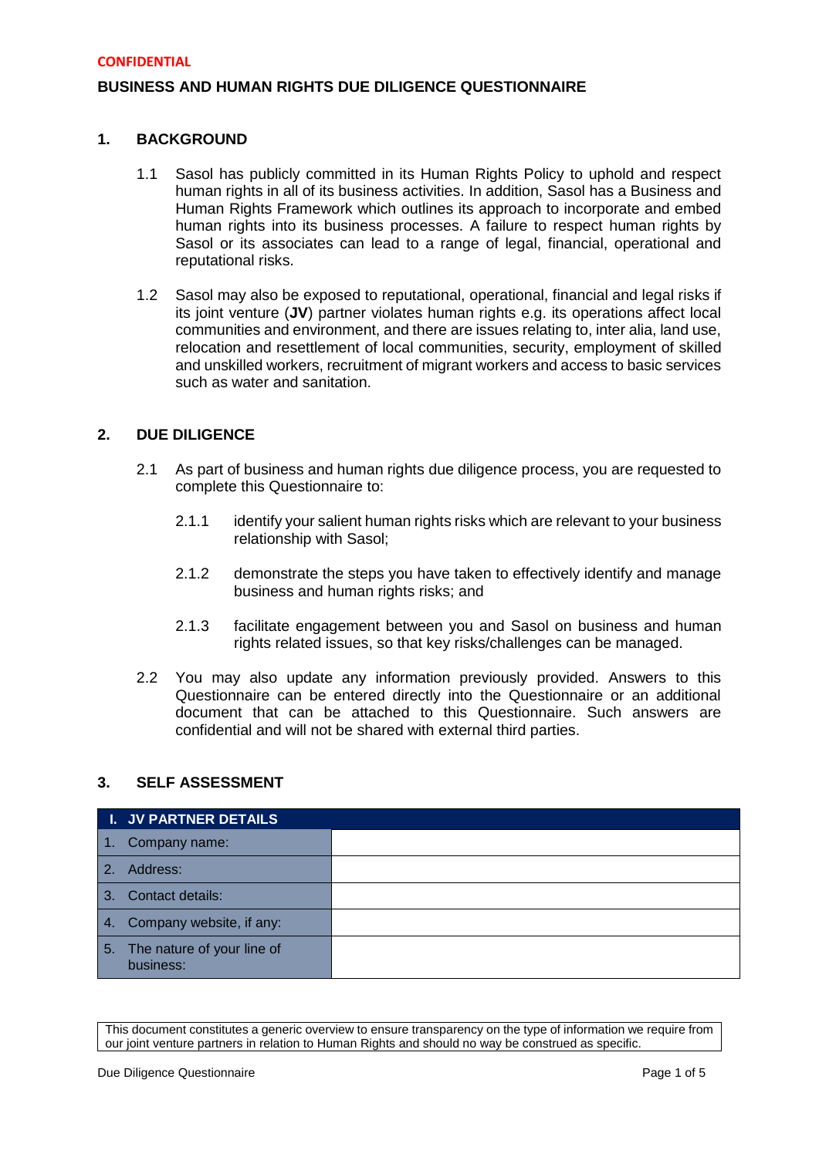# **BUSINESS AND HUMAN RIGHTS DUE DILIGENCE QUESTIONNAIRE**

## **1. BACKGROUND**

- 1.1 Sasol has publicly committed in its Human Rights Policy to uphold and respect human rights in all of its business activities. In addition, Sasol has a Business and Human Rights Framework which outlines its approach to incorporate and embed human rights into its business processes. A failure to respect human rights by Sasol or its associates can lead to a range of legal, financial, operational and reputational risks.
- 1.2 Sasol may also be exposed to reputational, operational, financial and legal risks if its joint venture (**JV**) partner violates human rights e.g. its operations affect local communities and environment, and there are issues relating to, inter alia, land use, relocation and resettlement of local communities, security, employment of skilled and unskilled workers, recruitment of migrant workers and access to basic services such as water and sanitation.

## **2. DUE DILIGENCE**

- 2.1 As part of business and human rights due diligence process, you are requested to complete this Questionnaire to:
	- 2.1.1 identify your salient human rights risks which are relevant to your business relationship with Sasol;
	- 2.1.2 demonstrate the steps you have taken to effectively identify and manage business and human rights risks; and
	- 2.1.3 facilitate engagement between you and Sasol on business and human rights related issues, so that key risks/challenges can be managed.
- 2.2 You may also update any information previously provided. Answers to this Questionnaire can be entered directly into the Questionnaire or an additional document that can be attached to this Questionnaire. Such answers are confidential and will not be shared with external third parties.

## **3. SELF ASSESSMENT**

|               | <b>I. JV PARTNER DETAILS</b>               |  |
|---------------|--------------------------------------------|--|
|               | Company name:                              |  |
| $\mathcal{P}$ | Address:                                   |  |
| 3.            | Contact details:                           |  |
| 4.            | Company website, if any:                   |  |
|               | 5. The nature of your line of<br>business: |  |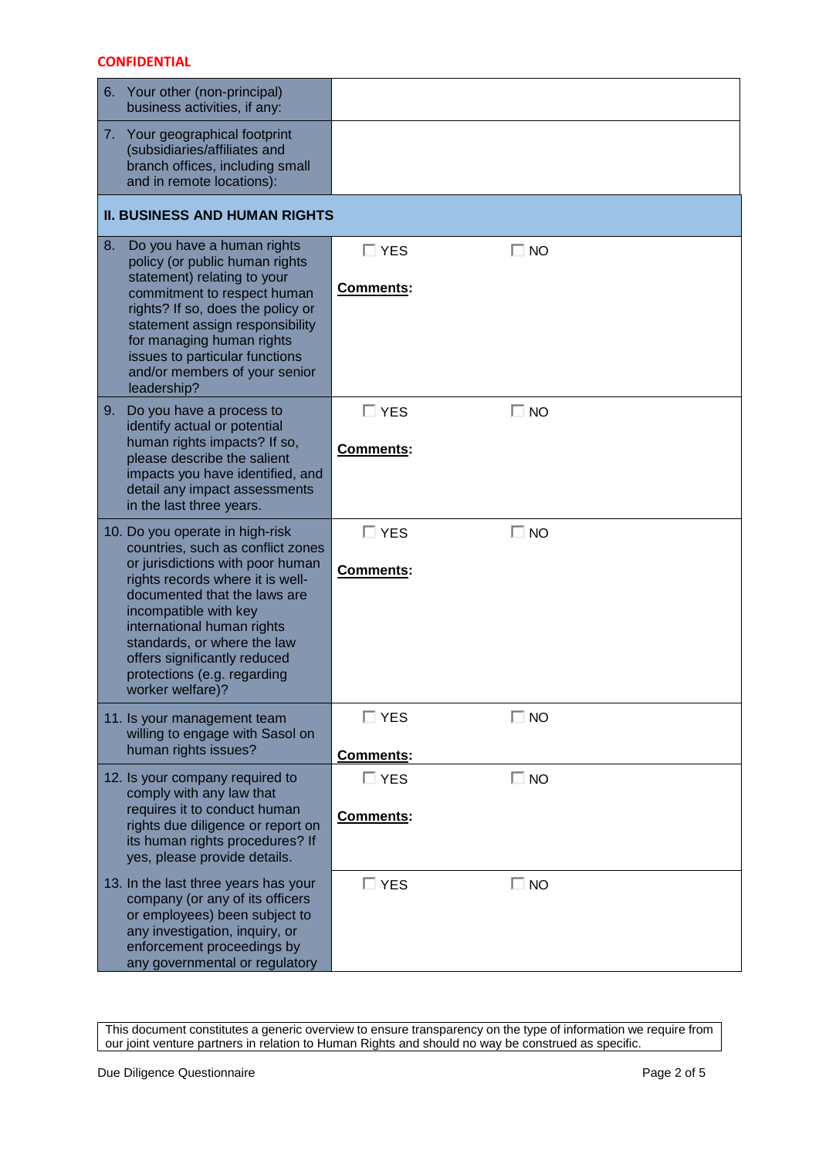|                   | 6. Your other (non-principal)<br>business activities, if any:                                                                                                                                                                                                                                                                     |                            |              |  |  |
|-------------------|-----------------------------------------------------------------------------------------------------------------------------------------------------------------------------------------------------------------------------------------------------------------------------------------------------------------------------------|----------------------------|--------------|--|--|
|                   | 7. Your geographical footprint<br>(subsidiaries/affiliates and<br>branch offices, including small<br>and in remote locations):                                                                                                                                                                                                    |                            |              |  |  |
|                   | <b>II. BUSINESS AND HUMAN RIGHTS</b>                                                                                                                                                                                                                                                                                              |                            |              |  |  |
| 8.<br>leadership? | Do you have a human rights<br>policy (or public human rights<br>statement) relating to your<br>commitment to respect human<br>rights? If so, does the policy or<br>statement assign responsibility<br>for managing human rights<br>issues to particular functions<br>and/or members of your senior                                | $\square$ YES<br>Comments: | $\Box$ NO    |  |  |
| 9.                | Do you have a process to<br>identify actual or potential<br>human rights impacts? If so,<br>please describe the salient<br>impacts you have identified, and<br>detail any impact assessments<br>in the last three years.                                                                                                          | $\square$ YES<br>Comments: | $\Box$ NO    |  |  |
| worker welfare)?  | 10. Do you operate in high-risk<br>countries, such as conflict zones<br>or jurisdictions with poor human<br>rights records where it is well-<br>documented that the laws are<br>incompatible with key<br>international human rights<br>standards, or where the law<br>offers significantly reduced<br>protections (e.g. regarding | $\square$ YES<br>Comments: | $\Box$ NO    |  |  |
|                   | 11. Is your management team<br>willing to engage with Sasol on<br>human rights issues?                                                                                                                                                                                                                                            | $\square$ YES<br>Comments: | $\square$ NO |  |  |
|                   | 12. Is your company required to<br>comply with any law that<br>requires it to conduct human<br>rights due diligence or report on<br>its human rights procedures? If<br>yes, please provide details.                                                                                                                               | $\square$ YES<br>Comments: | $\Box$ NO    |  |  |
|                   | 13. In the last three years has your<br>company (or any of its officers<br>or employees) been subject to<br>any investigation, inquiry, or<br>enforcement proceedings by<br>any governmental or regulatory                                                                                                                        | $\Box$ YES                 | $\Box$ NO    |  |  |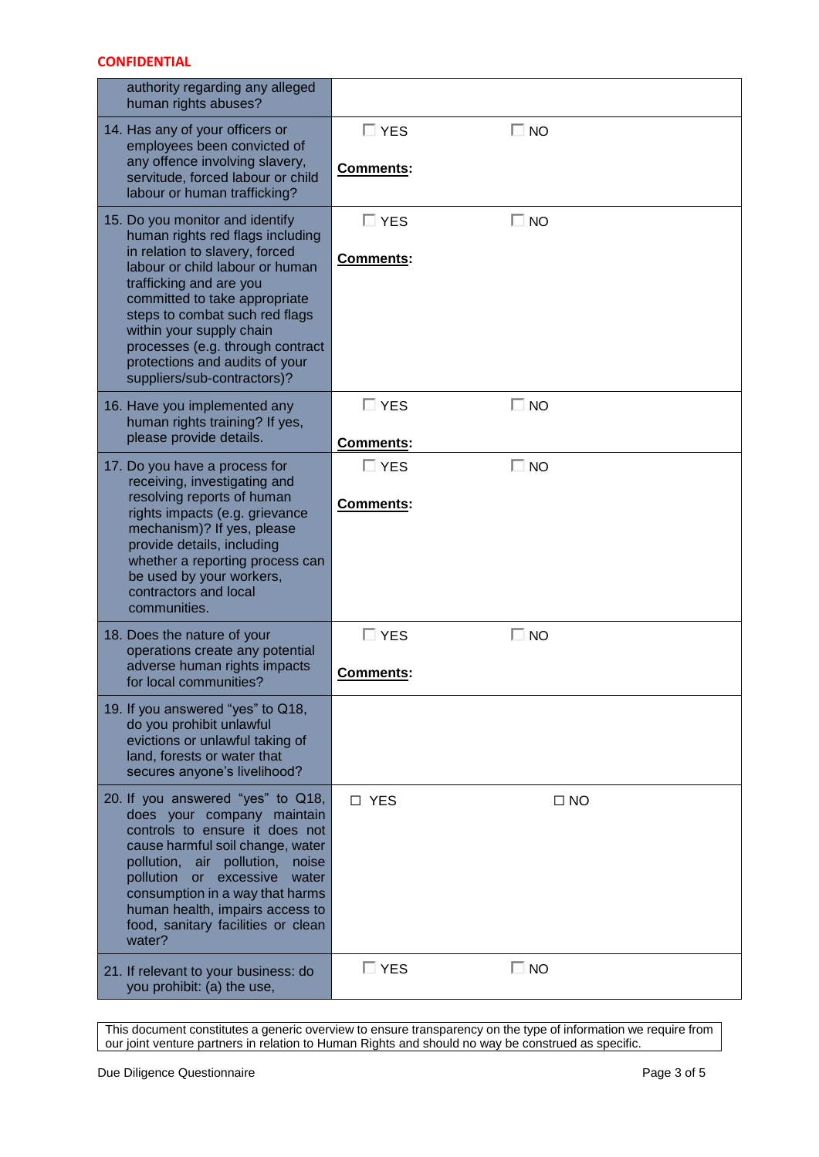| authority regarding any alleged<br>human rights abuses?                                                                                                                                                                                                                                                                                                                 |                            |           |
|-------------------------------------------------------------------------------------------------------------------------------------------------------------------------------------------------------------------------------------------------------------------------------------------------------------------------------------------------------------------------|----------------------------|-----------|
| 14. Has any of your officers or<br>employees been convicted of<br>any offence involving slavery,<br>servitude, forced labour or child<br>labour or human trafficking?                                                                                                                                                                                                   | $\Box$ YES<br>Comments:    | $\Box$ NO |
| 15. Do you monitor and identify<br>human rights red flags including<br>in relation to slavery, forced<br>labour or child labour or human<br>trafficking and are you<br>committed to take appropriate<br>steps to combat such red flags<br>within your supply chain<br>processes (e.g. through contract<br>protections and audits of your<br>suppliers/sub-contractors)? | $\Box$ YES<br>Comments:    | $\Box$ NO |
| 16. Have you implemented any<br>human rights training? If yes,<br>please provide details.                                                                                                                                                                                                                                                                               | $\square$ YES<br>Comments: | $\Box$ NO |
| 17. Do you have a process for<br>receiving, investigating and<br>resolving reports of human<br>rights impacts (e.g. grievance<br>mechanism)? If yes, please<br>provide details, including<br>whether a reporting process can<br>be used by your workers,<br>contractors and local<br>communities.                                                                       | $\Box$ YES<br>Comments:    | $\Box$ NO |
| 18. Does the nature of your<br>operations create any potential<br>adverse human rights impacts<br>for local communities?                                                                                                                                                                                                                                                | $\Box$ YES<br>Comments:    | $\Box$ NO |
| 19. If you answered "yes" to Q18,<br>do you prohibit unlawful<br>evictions or unlawful taking of<br>land, forests or water that<br>secures anyone's livelihood?                                                                                                                                                                                                         |                            |           |
| 20. If you answered "yes" to Q18,<br>does your company maintain<br>controls to ensure it does not<br>cause harmful soil change, water<br>pollution, air pollution,<br>noise<br>or excessive<br>pollution<br>water<br>consumption in a way that harms<br>human health, impairs access to<br>food, sanitary facilities or clean<br>water?                                 | □ YES                      | $\Box$ NO |
| 21. If relevant to your business: do<br>you prohibit: (a) the use,                                                                                                                                                                                                                                                                                                      | $\square$ YES              | $\Box$ NO |